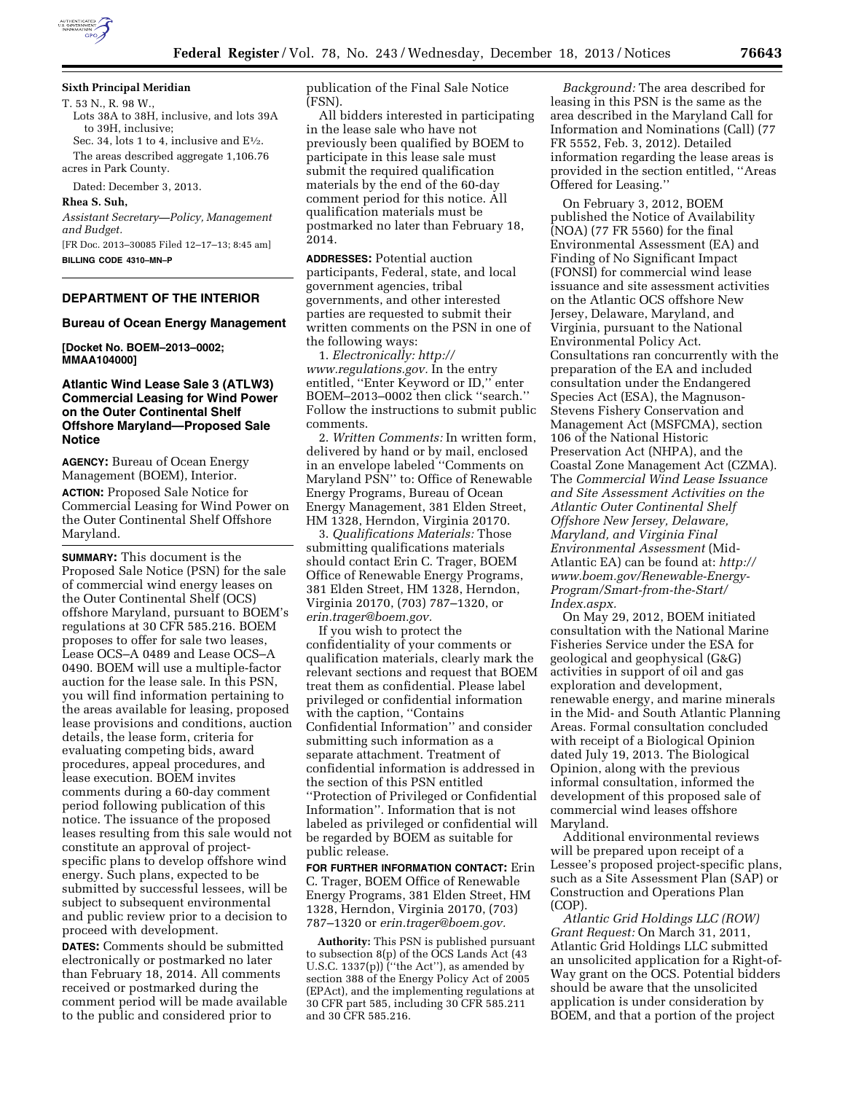

# **Sixth Principal Meridian**

T. 53 N., R. 98 W., Lots 38A to 38H, inclusive, and lots 39A to 39H, inclusive; Sec. 34, lots 1 to 4, inclusive and  $E\frac{1}{2}$ .

The areas described aggregate 1,106.76 acres in Park County.

Dated: December 3, 2013.

#### **Rhea S. Suh,**

*Assistant Secretary—Policy, Management and Budget.* 

[FR Doc. 2013–30085 Filed 12–17–13; 8:45 am] **BILLING CODE 4310–MN–P** 

# **DEPARTMENT OF THE INTERIOR**

#### **Bureau of Ocean Energy Management**

**[Docket No. BOEM–2013–0002; MMAA104000]** 

## **Atlantic Wind Lease Sale 3 (ATLW3) Commercial Leasing for Wind Power on the Outer Continental Shelf Offshore Maryland—Proposed Sale Notice**

**AGENCY:** Bureau of Ocean Energy Management (BOEM), Interior. **ACTION:** Proposed Sale Notice for Commercial Leasing for Wind Power on the Outer Continental Shelf Offshore Maryland.

**SUMMARY:** This document is the Proposed Sale Notice (PSN) for the sale of commercial wind energy leases on the Outer Continental Shelf (OCS) offshore Maryland, pursuant to BOEM's regulations at 30 CFR 585.216. BOEM proposes to offer for sale two leases, Lease OCS–A 0489 and Lease OCS–A 0490. BOEM will use a multiple-factor auction for the lease sale. In this PSN, you will find information pertaining to the areas available for leasing, proposed lease provisions and conditions, auction details, the lease form, criteria for evaluating competing bids, award procedures, appeal procedures, and lease execution. BOEM invites comments during a 60-day comment period following publication of this notice. The issuance of the proposed leases resulting from this sale would not constitute an approval of projectspecific plans to develop offshore wind energy. Such plans, expected to be submitted by successful lessees, will be subject to subsequent environmental and public review prior to a decision to proceed with development.

**DATES:** Comments should be submitted electronically or postmarked no later than February 18, 2014. All comments received or postmarked during the comment period will be made available to the public and considered prior to

publication of the Final Sale Notice (FSN).

All bidders interested in participating in the lease sale who have not previously been qualified by BOEM to participate in this lease sale must submit the required qualification materials by the end of the 60-day comment period for this notice. All qualification materials must be postmarked no later than February 18, 2014.

**ADDRESSES:** Potential auction participants, Federal, state, and local government agencies, tribal governments, and other interested parties are requested to submit their written comments on the PSN in one of the following ways:

1. *Electronically: [http://](http://www.regulations.gov) [www.regulations.gov.](http://www.regulations.gov)* In the entry entitled, ''Enter Keyword or ID,'' enter BOEM–2013–0002 then click ''search.'' Follow the instructions to submit public comments.

2. *Written Comments:* In written form, delivered by hand or by mail, enclosed in an envelope labeled ''Comments on Maryland PSN'' to: Office of Renewable Energy Programs, Bureau of Ocean Energy Management, 381 Elden Street, HM 1328, Herndon, Virginia 20170.

3. *Qualifications Materials:* Those submitting qualifications materials should contact Erin C. Trager, BOEM Office of Renewable Energy Programs, 381 Elden Street, HM 1328, Herndon, Virginia 20170, (703) 787–1320, or *[erin.trager@boem.gov.](mailto:erin.trager@boem.gov)* 

If you wish to protect the confidentiality of your comments or qualification materials, clearly mark the relevant sections and request that BOEM treat them as confidential. Please label privileged or confidential information with the caption, ''Contains Confidential Information'' and consider submitting such information as a separate attachment. Treatment of confidential information is addressed in the section of this PSN entitled ''Protection of Privileged or Confidential Information''. Information that is not labeled as privileged or confidential will be regarded by BOEM as suitable for public release.

**FOR FURTHER INFORMATION CONTACT:** Erin C. Trager, BOEM Office of Renewable Energy Programs, 381 Elden Street, HM 1328, Herndon, Virginia 20170, (703) 787–1320 or *[erin.trager@boem.gov.](mailto:erin.trager@boem.gov)* 

**Authority:** This PSN is published pursuant to subsection 8(p) of the OCS Lands Act (43 U.S.C. 1337(p)) ("the Act"), as amended by section 388 of the Energy Policy Act of 2005 (EPAct), and the implementing regulations at 30 CFR part 585, including 30 CFR 585.211 and 30 CFR 585.216.

*Background:* The area described for leasing in this PSN is the same as the area described in the Maryland Call for Information and Nominations (Call) (77 FR 5552, Feb. 3, 2012). Detailed information regarding the lease areas is provided in the section entitled, ''Areas Offered for Leasing.''

On February 3, 2012, BOEM published the Notice of Availability (NOA) (77 FR 5560) for the final Environmental Assessment (EA) and Finding of No Significant Impact (FONSI) for commercial wind lease issuance and site assessment activities on the Atlantic OCS offshore New Jersey, Delaware, Maryland, and Virginia, pursuant to the National Environmental Policy Act. Consultations ran concurrently with the preparation of the EA and included consultation under the Endangered Species Act (ESA), the Magnuson-Stevens Fishery Conservation and Management Act (MSFCMA), section 106 of the National Historic Preservation Act (NHPA), and the Coastal Zone Management Act (CZMA). The *Commercial Wind Lease Issuance and Site Assessment Activities on the Atlantic Outer Continental Shelf Offshore New Jersey, Delaware, Maryland, and Virginia Final Environmental Assessment* (Mid-Atlantic EA) can be found at: *[http://](http://www.boem.gov/Renewable-Energy-Program/Smart-from-the-Start/Index.aspx) [www.boem.gov/Renewable-Energy-](http://www.boem.gov/Renewable-Energy-Program/Smart-from-the-Start/Index.aspx)[Program/Smart-from-the-Start/](http://www.boem.gov/Renewable-Energy-Program/Smart-from-the-Start/Index.aspx) [Index.aspx.](http://www.boem.gov/Renewable-Energy-Program/Smart-from-the-Start/Index.aspx)* 

On May 29, 2012, BOEM initiated consultation with the National Marine Fisheries Service under the ESA for geological and geophysical (G&G) activities in support of oil and gas exploration and development, renewable energy, and marine minerals in the Mid- and South Atlantic Planning Areas. Formal consultation concluded with receipt of a Biological Opinion dated July 19, 2013. The Biological Opinion, along with the previous informal consultation, informed the development of this proposed sale of commercial wind leases offshore Maryland.

Additional environmental reviews will be prepared upon receipt of a Lessee's proposed project-specific plans, such as a Site Assessment Plan (SAP) or Construction and Operations Plan (COP).

*Atlantic Grid Holdings LLC (ROW) Grant Request:* On March 31, 2011, Atlantic Grid Holdings LLC submitted an unsolicited application for a Right-of-Way grant on the OCS. Potential bidders should be aware that the unsolicited application is under consideration by BOEM, and that a portion of the project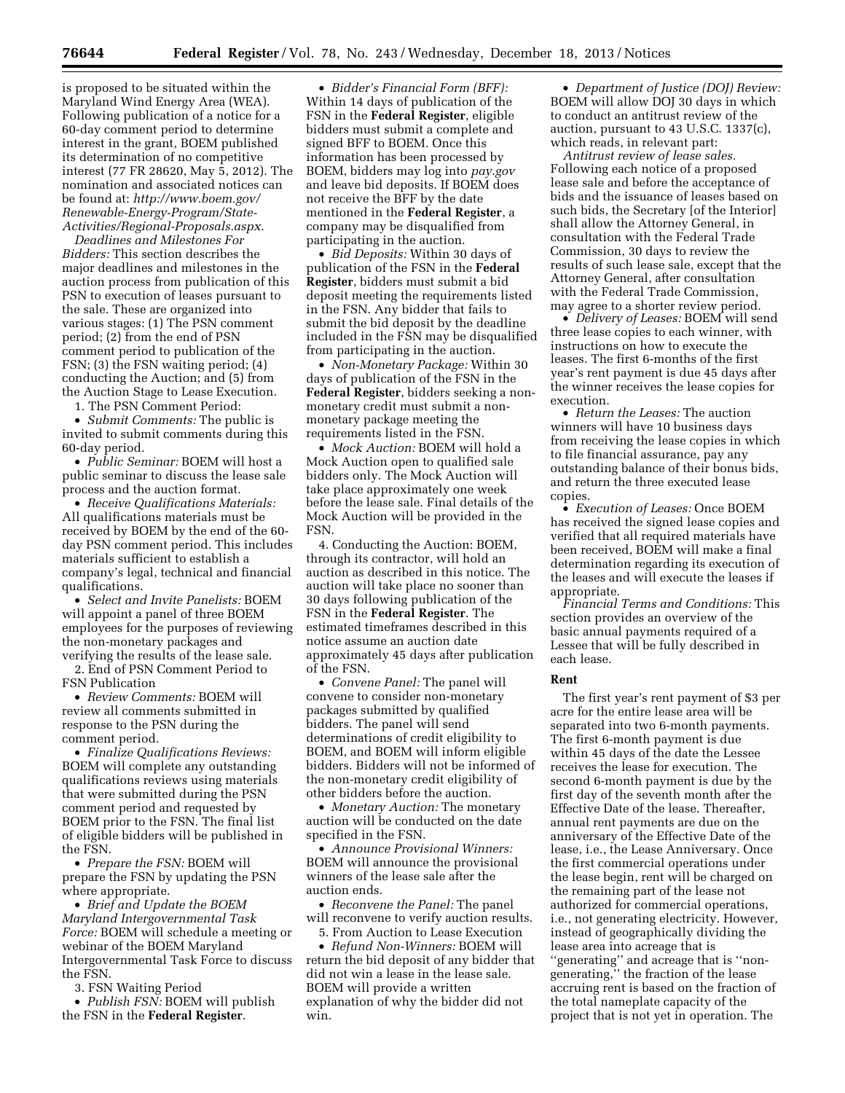is proposed to be situated within the Maryland Wind Energy Area (WEA). Following publication of a notice for a 60-day comment period to determine interest in the grant, BOEM published its determination of no competitive interest (77 FR 28620, May 5, 2012). The nomination and associated notices can be found at: *[http://www.boem.gov/](http://www.boem.gov/Renewable-Energy-Program/State-Activities/Regional-Proposals.aspx.) [Renewable-Energy-Program/State-](http://www.boem.gov/Renewable-Energy-Program/State-Activities/Regional-Proposals.aspx.)[Activities/Regional-Proposals.aspx.](http://www.boem.gov/Renewable-Energy-Program/State-Activities/Regional-Proposals.aspx.)* 

*Deadlines and Milestones For Bidders:* This section describes the major deadlines and milestones in the auction process from publication of this PSN to execution of leases pursuant to the sale. These are organized into various stages: (1) The PSN comment period; (2) from the end of PSN comment period to publication of the FSN; (3) the FSN waiting period; (4) conducting the Auction; and (5) from the Auction Stage to Lease Execution.

1. The PSN Comment Period:

• *Submit Comments:* The public is invited to submit comments during this 60-day period.

• *Public Seminar:* BOEM will host a public seminar to discuss the lease sale process and the auction format.

• *Receive Qualifications Materials:*  All qualifications materials must be received by BOEM by the end of the 60 day PSN comment period. This includes materials sufficient to establish a company's legal, technical and financial qualifications.

• *Select and Invite Panelists:* BOEM will appoint a panel of three BOEM employees for the purposes of reviewing the non-monetary packages and verifying the results of the lease sale.

2. End of PSN Comment Period to FSN Publication

• *Review Comments:* BOEM will review all comments submitted in response to the PSN during the comment period.

• *Finalize Qualifications Reviews:*  BOEM will complete any outstanding qualifications reviews using materials that were submitted during the PSN comment period and requested by BOEM prior to the FSN. The final list of eligible bidders will be published in the FSN.

• *Prepare the FSN:* BOEM will prepare the FSN by updating the PSN where appropriate.

• *Brief and Update the BOEM Maryland Intergovernmental Task Force:* BOEM will schedule a meeting or webinar of the BOEM Maryland Intergovernmental Task Force to discuss the FSN.

3. FSN Waiting Period

• *Publish FSN:* BOEM will publish the FSN in the **Federal Register**.

• *Bidder's Financial Form (BFF):*  Within 14 days of publication of the FSN in the **Federal Register**, eligible bidders must submit a complete and signed BFF to BOEM. Once this information has been processed by BOEM, bidders may log into *pay.gov*  and leave bid deposits. If BOEM does not receive the BFF by the date mentioned in the **Federal Register**, a company may be disqualified from participating in the auction.

• *Bid Deposits:* Within 30 days of publication of the FSN in the **Federal Register**, bidders must submit a bid deposit meeting the requirements listed in the FSN. Any bidder that fails to submit the bid deposit by the deadline included in the FSN may be disqualified from participating in the auction.

• *Non-Monetary Package:* Within 30 days of publication of the FSN in the **Federal Register**, bidders seeking a nonmonetary credit must submit a nonmonetary package meeting the requirements listed in the FSN.

• *Mock Auction:* BOEM will hold a Mock Auction open to qualified sale bidders only. The Mock Auction will take place approximately one week before the lease sale. Final details of the Mock Auction will be provided in the FSN.

4. Conducting the Auction: BOEM, through its contractor, will hold an auction as described in this notice. The auction will take place no sooner than 30 days following publication of the FSN in the **Federal Register**. The estimated timeframes described in this notice assume an auction date approximately 45 days after publication of the FSN.

• *Convene Panel:* The panel will convene to consider non-monetary packages submitted by qualified bidders. The panel will send determinations of credit eligibility to BOEM, and BOEM will inform eligible bidders. Bidders will not be informed of the non-monetary credit eligibility of other bidders before the auction.

• *Monetary Auction:* The monetary auction will be conducted on the date specified in the FSN.

• *Announce Provisional Winners:*  BOEM will announce the provisional winners of the lease sale after the auction ends.

• *Reconvene the Panel:* The panel will reconvene to verify auction results.

5. From Auction to Lease Execution

• *Refund Non-Winners:* BOEM will return the bid deposit of any bidder that did not win a lease in the lease sale. BOEM will provide a written explanation of why the bidder did not win.

• *Department of Justice (DOJ) Review:*  BOEM will allow DOJ 30 days in which to conduct an antitrust review of the auction, pursuant to 43 U.S.C. 1337(c), which reads, in relevant part:

*Antitrust review of lease sales.*  Following each notice of a proposed lease sale and before the acceptance of bids and the issuance of leases based on such bids, the Secretary [of the Interior] shall allow the Attorney General, in consultation with the Federal Trade Commission, 30 days to review the results of such lease sale, except that the Attorney General, after consultation with the Federal Trade Commission, may agree to a shorter review period.

• *Delivery of Leases:* BOEM will send three lease copies to each winner, with instructions on how to execute the leases. The first 6-months of the first year's rent payment is due 45 days after the winner receives the lease copies for execution.

• *Return the Leases:* The auction winners will have 10 business days from receiving the lease copies in which to file financial assurance, pay any outstanding balance of their bonus bids, and return the three executed lease copies.

• *Execution of Leases:* Once BOEM has received the signed lease copies and verified that all required materials have been received, BOEM will make a final determination regarding its execution of the leases and will execute the leases if appropriate.

*Financial Terms and Conditions:* This section provides an overview of the basic annual payments required of a Lessee that will be fully described in each lease.

## **Rent**

The first year's rent payment of \$3 per acre for the entire lease area will be separated into two 6-month payments. The first 6-month payment is due within 45 days of the date the Lessee receives the lease for execution. The second 6-month payment is due by the first day of the seventh month after the Effective Date of the lease. Thereafter, annual rent payments are due on the anniversary of the Effective Date of the lease, i.e., the Lease Anniversary. Once the first commercial operations under the lease begin, rent will be charged on the remaining part of the lease not authorized for commercial operations, i.e., not generating electricity. However, instead of geographically dividing the lease area into acreage that is ''generating'' and acreage that is ''nongenerating,'' the fraction of the lease accruing rent is based on the fraction of the total nameplate capacity of the project that is not yet in operation. The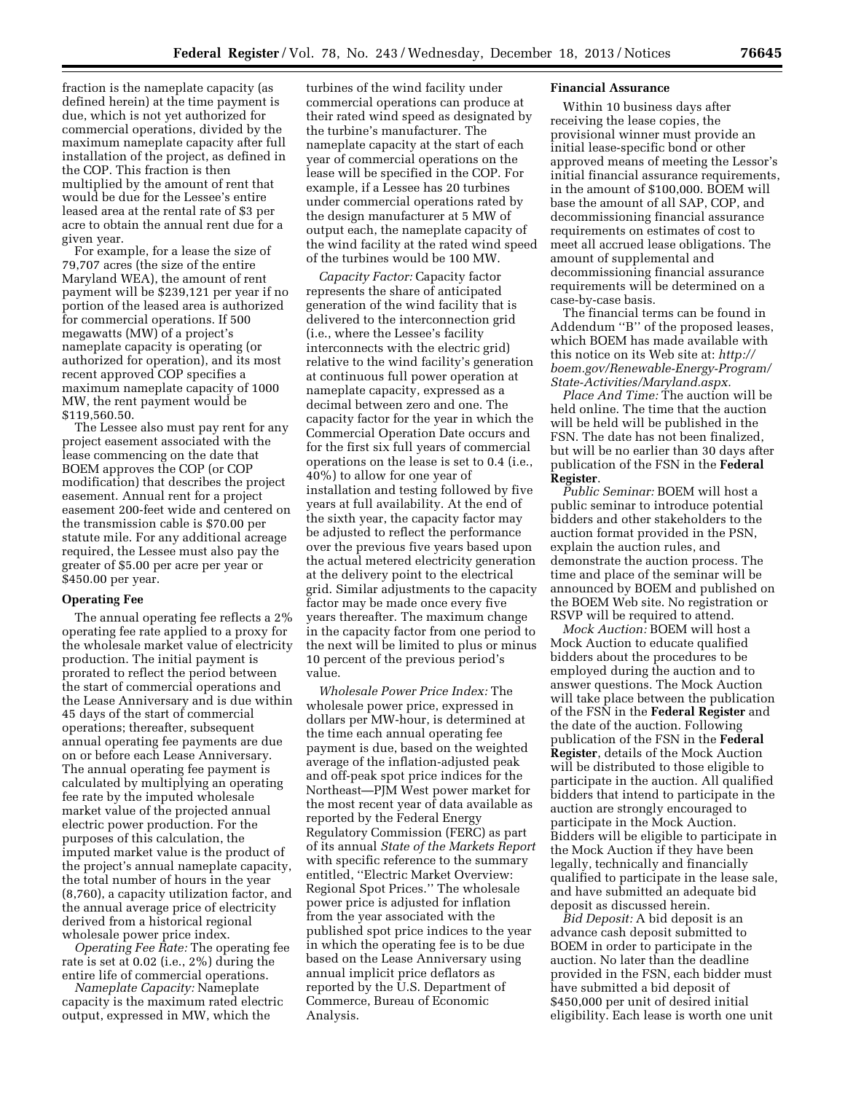fraction is the nameplate capacity (as defined herein) at the time payment is due, which is not yet authorized for commercial operations, divided by the maximum nameplate capacity after full installation of the project, as defined in the COP. This fraction is then multiplied by the amount of rent that would be due for the Lessee's entire leased area at the rental rate of \$3 per acre to obtain the annual rent due for a given year.

For example, for a lease the size of 79,707 acres (the size of the entire Maryland WEA), the amount of rent payment will be \$239,121 per year if no portion of the leased area is authorized for commercial operations. If 500 megawatts (MW) of a project's nameplate capacity is operating (or authorized for operation), and its most recent approved COP specifies a maximum nameplate capacity of 1000 MW, the rent payment would be \$119,560.50.

The Lessee also must pay rent for any project easement associated with the lease commencing on the date that BOEM approves the COP (or COP modification) that describes the project easement. Annual rent for a project easement 200-feet wide and centered on the transmission cable is \$70.00 per statute mile. For any additional acreage required, the Lessee must also pay the greater of \$5.00 per acre per year or \$450.00 per year.

### **Operating Fee**

The annual operating fee reflects a 2% operating fee rate applied to a proxy for the wholesale market value of electricity production. The initial payment is prorated to reflect the period between the start of commercial operations and the Lease Anniversary and is due within 45 days of the start of commercial operations; thereafter, subsequent annual operating fee payments are due on or before each Lease Anniversary. The annual operating fee payment is calculated by multiplying an operating fee rate by the imputed wholesale market value of the projected annual electric power production. For the purposes of this calculation, the imputed market value is the product of the project's annual nameplate capacity, the total number of hours in the year (8,760), a capacity utilization factor, and the annual average price of electricity derived from a historical regional wholesale power price index.

*Operating Fee Rate:* The operating fee rate is set at 0.02 (i.e., 2%) during the entire life of commercial operations.

*Nameplate Capacity:* Nameplate capacity is the maximum rated electric output, expressed in MW, which the

turbines of the wind facility under commercial operations can produce at their rated wind speed as designated by the turbine's manufacturer. The nameplate capacity at the start of each year of commercial operations on the lease will be specified in the COP. For example, if a Lessee has 20 turbines under commercial operations rated by the design manufacturer at 5 MW of output each, the nameplate capacity of the wind facility at the rated wind speed of the turbines would be 100 MW.

*Capacity Factor:* Capacity factor represents the share of anticipated generation of the wind facility that is delivered to the interconnection grid (i.e., where the Lessee's facility interconnects with the electric grid) relative to the wind facility's generation at continuous full power operation at nameplate capacity, expressed as a decimal between zero and one. The capacity factor for the year in which the Commercial Operation Date occurs and for the first six full years of commercial operations on the lease is set to 0.4 (i.e., 40%) to allow for one year of installation and testing followed by five years at full availability. At the end of the sixth year, the capacity factor may be adjusted to reflect the performance over the previous five years based upon the actual metered electricity generation at the delivery point to the electrical grid. Similar adjustments to the capacity factor may be made once every five years thereafter. The maximum change in the capacity factor from one period to the next will be limited to plus or minus 10 percent of the previous period's value.

*Wholesale Power Price Index:* The wholesale power price, expressed in dollars per MW-hour, is determined at the time each annual operating fee payment is due, based on the weighted average of the inflation-adjusted peak and off-peak spot price indices for the Northeast—PJM West power market for the most recent year of data available as reported by the Federal Energy Regulatory Commission (FERC) as part of its annual *State of the Markets Report*  with specific reference to the summary entitled, ''Electric Market Overview: Regional Spot Prices.'' The wholesale power price is adjusted for inflation from the year associated with the published spot price indices to the year in which the operating fee is to be due based on the Lease Anniversary using annual implicit price deflators as reported by the U.S. Department of Commerce, Bureau of Economic Analysis.

## **Financial Assurance**

Within 10 business days after receiving the lease copies, the provisional winner must provide an initial lease-specific bond or other approved means of meeting the Lessor's initial financial assurance requirements, in the amount of \$100,000. BOEM will base the amount of all SAP, COP, and decommissioning financial assurance requirements on estimates of cost to meet all accrued lease obligations. The amount of supplemental and decommissioning financial assurance requirements will be determined on a case-by-case basis.

The financial terms can be found in Addendum ''B'' of the proposed leases, which BOEM has made available with this notice on its Web site at: *[http://](http://boem.gov/Renewable-Energy-Program/State-Activities/Maryland.aspx) [boem.gov/Renewable-Energy-Program/](http://boem.gov/Renewable-Energy-Program/State-Activities/Maryland.aspx) [State-Activities/Maryland.aspx.](http://boem.gov/Renewable-Energy-Program/State-Activities/Maryland.aspx)* 

*Place And Time:* The auction will be held online. The time that the auction will be held will be published in the FSN. The date has not been finalized, but will be no earlier than 30 days after publication of the FSN in the **Federal Register**.

*Public Seminar:* BOEM will host a public seminar to introduce potential bidders and other stakeholders to the auction format provided in the PSN, explain the auction rules, and demonstrate the auction process. The time and place of the seminar will be announced by BOEM and published on the BOEM Web site. No registration or RSVP will be required to attend.

*Mock Auction:* BOEM will host a Mock Auction to educate qualified bidders about the procedures to be employed during the auction and to answer questions. The Mock Auction will take place between the publication of the FSN in the **Federal Register** and the date of the auction. Following publication of the FSN in the **Federal Register**, details of the Mock Auction will be distributed to those eligible to participate in the auction. All qualified bidders that intend to participate in the auction are strongly encouraged to participate in the Mock Auction. Bidders will be eligible to participate in the Mock Auction if they have been legally, technically and financially qualified to participate in the lease sale, and have submitted an adequate bid deposit as discussed herein.

*Bid Deposit:* A bid deposit is an advance cash deposit submitted to BOEM in order to participate in the auction. No later than the deadline provided in the FSN, each bidder must have submitted a bid deposit of \$450,000 per unit of desired initial eligibility. Each lease is worth one unit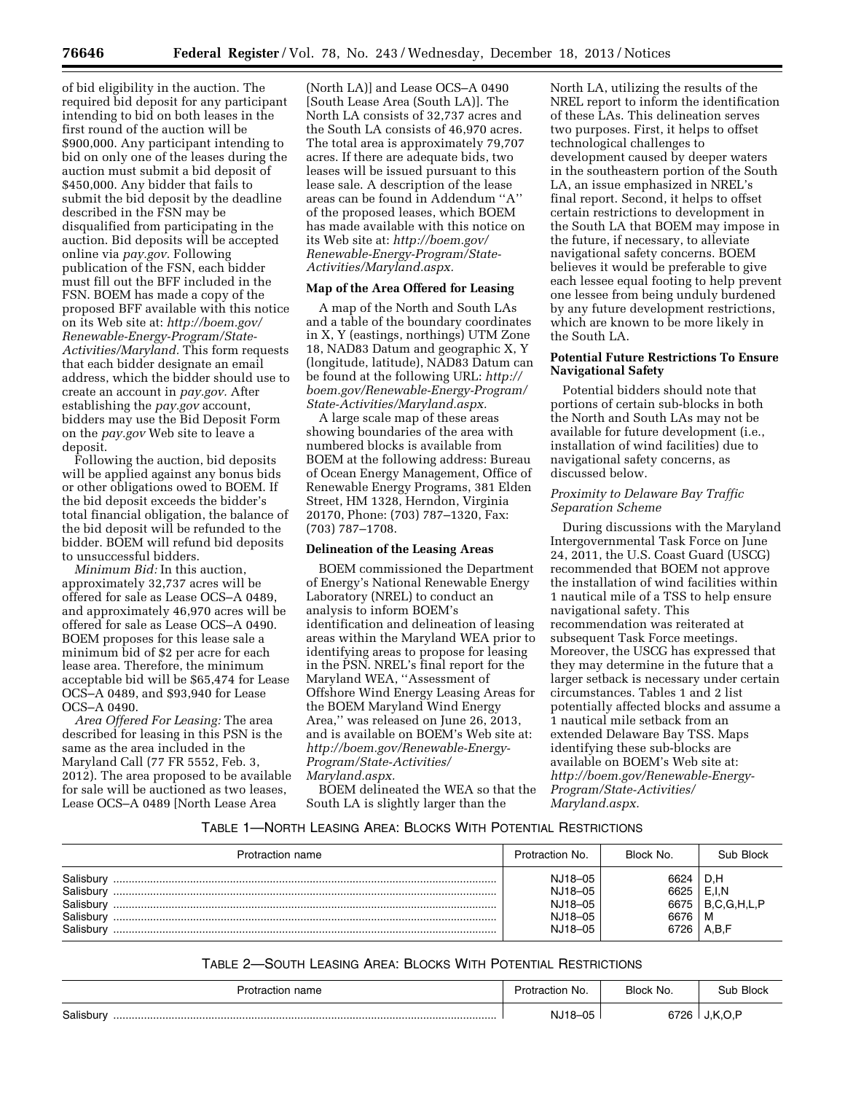of bid eligibility in the auction. The required bid deposit for any participant intending to bid on both leases in the first round of the auction will be \$900,000. Any participant intending to bid on only one of the leases during the auction must submit a bid deposit of \$450,000. Any bidder that fails to submit the bid deposit by the deadline described in the FSN may be disqualified from participating in the auction. Bid deposits will be accepted online via *pay.gov.* Following publication of the FSN, each bidder must fill out the BFF included in the FSN. BOEM has made a copy of the proposed BFF available with this notice on its Web site at: *[http://boem.gov/](http://boem.gov/Renewable-Energy-Program/State-Activities/Maryland) [Renewable-Energy-Program/State-](http://boem.gov/Renewable-Energy-Program/State-Activities/Maryland)[Activities/Maryland.](http://boem.gov/Renewable-Energy-Program/State-Activities/Maryland)* This form requests that each bidder designate an email address, which the bidder should use to create an account in *pay.gov.* After establishing the *pay.gov* account, bidders may use the Bid Deposit Form on the *pay.gov* Web site to leave a deposit.

Following the auction, bid deposits will be applied against any bonus bids or other obligations owed to BOEM. If the bid deposit exceeds the bidder's total financial obligation, the balance of the bid deposit will be refunded to the bidder. BOEM will refund bid deposits to unsuccessful bidders.

*Minimum Bid:* In this auction, approximately 32,737 acres will be offered for sale as Lease OCS–A 0489, and approximately 46,970 acres will be offered for sale as Lease OCS–A 0490. BOEM proposes for this lease sale a minimum bid of \$2 per acre for each lease area. Therefore, the minimum acceptable bid will be \$65,474 for Lease OCS–A 0489, and \$93,940 for Lease OCS–A 0490.

*Area Offered For Leasing:* The area described for leasing in this PSN is the same as the area included in the Maryland Call (77 FR 5552, Feb. 3, 2012). The area proposed to be available for sale will be auctioned as two leases, Lease OCS–A 0489 [North Lease Area

(North LA)] and Lease OCS–A 0490 [South Lease Area (South LA)]. The North LA consists of 32,737 acres and the South LA consists of 46,970 acres. The total area is approximately 79,707 acres. If there are adequate bids, two leases will be issued pursuant to this lease sale. A description of the lease areas can be found in Addendum ''A'' of the proposed leases, which BOEM has made available with this notice on its Web site at: *[http://boem.gov/](http://boem.gov/Renewable-Energy-Program/State-Activities/Maryland.aspx) [Renewable-Energy-Program/State-](http://boem.gov/Renewable-Energy-Program/State-Activities/Maryland.aspx)[Activities/Maryland.aspx.](http://boem.gov/Renewable-Energy-Program/State-Activities/Maryland.aspx)* 

## **Map of the Area Offered for Leasing**

A map of the North and South LAs and a table of the boundary coordinates in X, Y (eastings, northings) UTM Zone 18, NAD83 Datum and geographic X, Y (longitude, latitude), NAD83 Datum can be found at the following URL: *[http://](http://boem.gov/Renewable-Energy-Program/State-Activities/Maryland.aspx) [boem.gov/Renewable-Energy-Program/](http://boem.gov/Renewable-Energy-Program/State-Activities/Maryland.aspx) [State-Activities/Maryland.aspx.](http://boem.gov/Renewable-Energy-Program/State-Activities/Maryland.aspx)* 

A large scale map of these areas showing boundaries of the area with numbered blocks is available from BOEM at the following address: Bureau of Ocean Energy Management, Office of Renewable Energy Programs, 381 Elden Street, HM 1328, Herndon, Virginia 20170, Phone: (703) 787–1320, Fax: (703) 787–1708.

### **Delineation of the Leasing Areas**

BOEM commissioned the Department of Energy's National Renewable Energy Laboratory (NREL) to conduct an analysis to inform BOEM's identification and delineation of leasing areas within the Maryland WEA prior to identifying areas to propose for leasing in the PSN. NREL's final report for the Maryland WEA, ''Assessment of Offshore Wind Energy Leasing Areas for the BOEM Maryland Wind Energy Area,'' was released on June 26, 2013, and is available on BOEM's Web site at: *[http://boem.gov/Renewable-Energy-](http://boem.gov/Renewable-Energy-Program/State-Activities/Maryland.aspx)[Program/State-Activities/](http://boem.gov/Renewable-Energy-Program/State-Activities/Maryland.aspx) [Maryland.aspx.](http://boem.gov/Renewable-Energy-Program/State-Activities/Maryland.aspx)* 

BOEM delineated the WEA so that the South LA is slightly larger than the

North LA, utilizing the results of the NREL report to inform the identification of these LAs. This delineation serves two purposes. First, it helps to offset technological challenges to development caused by deeper waters in the southeastern portion of the South LA, an issue emphasized in NREL's final report. Second, it helps to offset certain restrictions to development in the South LA that BOEM may impose in the future, if necessary, to alleviate navigational safety concerns. BOEM believes it would be preferable to give each lessee equal footing to help prevent one lessee from being unduly burdened by any future development restrictions, which are known to be more likely in the South LA.

# **Potential Future Restrictions To Ensure Navigational Safety**

Potential bidders should note that portions of certain sub-blocks in both the North and South LAs may not be available for future development (i.e., installation of wind facilities) due to navigational safety concerns, as discussed below.

## *Proximity to Delaware Bay Traffic Separation Scheme*

During discussions with the Maryland Intergovernmental Task Force on June 24, 2011, the U.S. Coast Guard (USCG) recommended that BOEM not approve the installation of wind facilities within 1 nautical mile of a TSS to help ensure navigational safety. This recommendation was reiterated at subsequent Task Force meetings. Moreover, the USCG has expressed that they may determine in the future that a larger setback is necessary under certain circumstances. Tables 1 and 2 list potentially affected blocks and assume a 1 nautical mile setback from an extended Delaware Bay TSS. Maps identifying these sub-blocks are available on BOEM's Web site at: *[http://boem.gov/Renewable-Energy-](http://boem.gov/Renewable-Energy-Program/State-Activities/Maryland.aspx)[Program/State-Activities/](http://boem.gov/Renewable-Energy-Program/State-Activities/Maryland.aspx) [Maryland.aspx.](http://boem.gov/Renewable-Energy-Program/State-Activities/Maryland.aspx)* 

# TABLE 1—NORTH LEASING AREA: BLOCKS WITH POTENTIAL RESTRICTIONS

| Protraction name                                              | Protraction No.                                     | Block No.                            | Sub Block                                 |
|---------------------------------------------------------------|-----------------------------------------------------|--------------------------------------|-------------------------------------------|
| Salisbury<br>Salisbury<br>Salisbury<br>Salisbury<br>Salisbury | NJ18-05<br>NJ18-05<br>NJ18-05<br>NJ18-05<br>NJ18-05 | 6624<br>6625<br>6675<br>6676<br>6726 | D.H<br>E.I.N<br>B.C.G.H.L.P<br>м<br>A.B.F |

# TABLE 2—SOUTH LEASING AREA: BLOCKS WITH POTENTIAL RESTRICTIONS

| name<br>וונ   | No.<br>actio. | Block No.<br>$\sim$ | ∩ <sup>.,</sup> 'h Block |
|---------------|---------------|---------------------|--------------------------|
| Salisbury<br> | $-05$<br>19.  | `726 ⊥<br>67        | ĸ                        |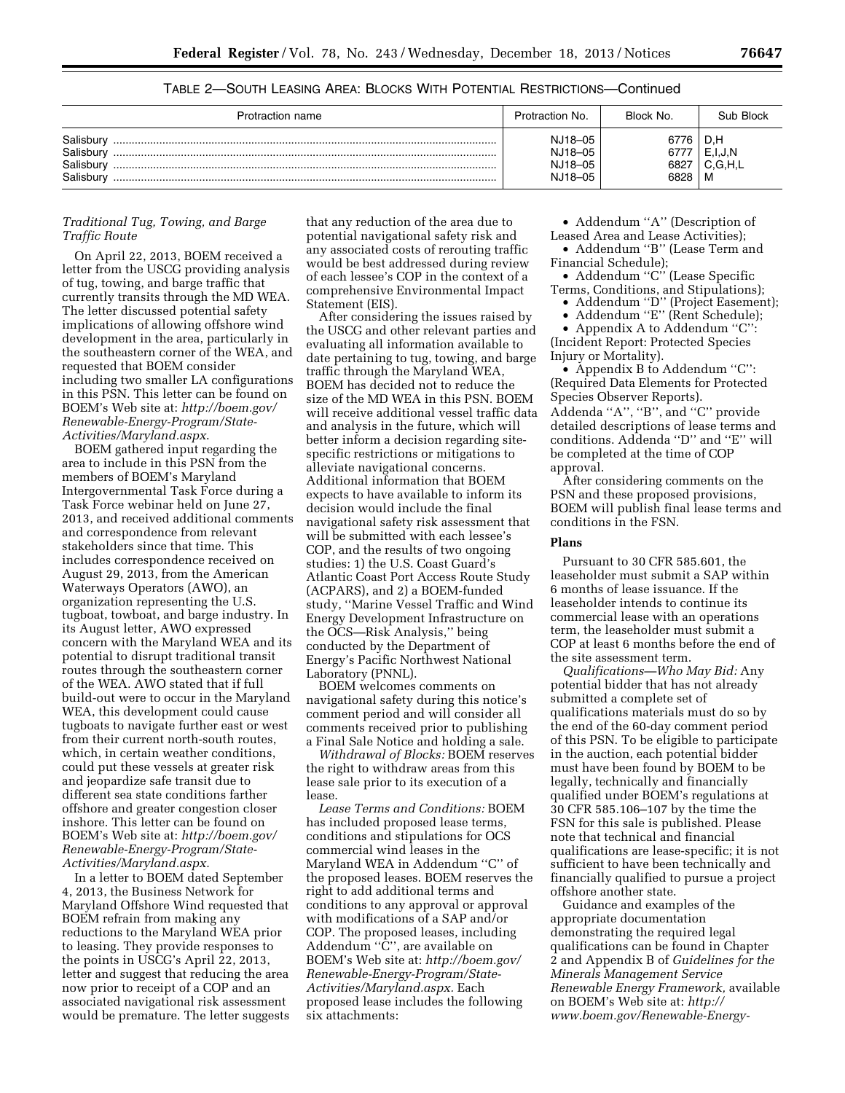| Protraction name                                 | Protraction No.                          | Block No.               | Sub Block                      |
|--------------------------------------------------|------------------------------------------|-------------------------|--------------------------------|
| Salisbury<br>Salisbury<br>Salisbury<br>Salisbury | NJ18-05<br>NJ18-05<br>NJ18-05<br>NJ18-05 | 76<br>67<br>682<br>6828 | D.H<br>E.I.J.N<br>C.G.H.L<br>M |

TABLE 2—SOUTH LEASING AREA: BLOCKS WITH POTENTIAL RESTRICTIONS—Continued

## *Traditional Tug, Towing, and Barge Traffic Route*

On April 22, 2013, BOEM received a letter from the USCG providing analysis of tug, towing, and barge traffic that currently transits through the MD WEA. The letter discussed potential safety implications of allowing offshore wind development in the area, particularly in the southeastern corner of the WEA, and requested that BOEM consider including two smaller LA configurations in this PSN. This letter can be found on BOEM's Web site at: *[http://boem.gov/](http://boem.gov/Renewable-Energy-Program/State-Activities/Maryland.aspx) [Renewable-Energy-Program/State-](http://boem.gov/Renewable-Energy-Program/State-Activities/Maryland.aspx)[Activities/Maryland.aspx](http://boem.gov/Renewable-Energy-Program/State-Activities/Maryland.aspx)*.

BOEM gathered input regarding the area to include in this PSN from the members of BOEM's Maryland Intergovernmental Task Force during a Task Force webinar held on June 27, 2013, and received additional comments and correspondence from relevant stakeholders since that time. This includes correspondence received on August 29, 2013, from the American Waterways Operators (AWO), an organization representing the U.S. tugboat, towboat, and barge industry. In its August letter, AWO expressed concern with the Maryland WEA and its potential to disrupt traditional transit routes through the southeastern corner of the WEA. AWO stated that if full build-out were to occur in the Maryland WEA, this development could cause tugboats to navigate further east or west from their current north-south routes, which, in certain weather conditions, could put these vessels at greater risk and jeopardize safe transit due to different sea state conditions farther offshore and greater congestion closer inshore. This letter can be found on BOEM's Web site at: *[http://boem.gov/](http://boem.gov/Renewable-Energy-Program/State-Activities/Maryland.aspx) [Renewable-Energy-Program/State-](http://boem.gov/Renewable-Energy-Program/State-Activities/Maryland.aspx)[Activities/Maryland.aspx.](http://boem.gov/Renewable-Energy-Program/State-Activities/Maryland.aspx)* 

In a letter to BOEM dated September 4, 2013, the Business Network for Maryland Offshore Wind requested that BOEM refrain from making any reductions to the Maryland WEA prior to leasing. They provide responses to the points in USCG's April 22, 2013, letter and suggest that reducing the area now prior to receipt of a COP and an associated navigational risk assessment would be premature. The letter suggests that any reduction of the area due to potential navigational safety risk and any associated costs of rerouting traffic would be best addressed during review of each lessee's COP in the context of a comprehensive Environmental Impact Statement (EIS).

After considering the issues raised by the USCG and other relevant parties and evaluating all information available to date pertaining to tug, towing, and barge traffic through the Maryland WEA, BOEM has decided not to reduce the size of the MD WEA in this PSN. BOEM will receive additional vessel traffic data and analysis in the future, which will better inform a decision regarding sitespecific restrictions or mitigations to alleviate navigational concerns. Additional information that BOEM expects to have available to inform its decision would include the final navigational safety risk assessment that will be submitted with each lessee's COP, and the results of two ongoing studies: 1) the U.S. Coast Guard's Atlantic Coast Port Access Route Study (ACPARS), and 2) a BOEM-funded study, ''Marine Vessel Traffic and Wind Energy Development Infrastructure on the OCS—Risk Analysis,'' being conducted by the Department of Energy's Pacific Northwest National Laboratory (PNNL).

BOEM welcomes comments on navigational safety during this notice's comment period and will consider all comments received prior to publishing a Final Sale Notice and holding a sale.

*Withdrawal of Blocks:* BOEM reserves the right to withdraw areas from this lease sale prior to its execution of a lease.

*Lease Terms and Conditions:* BOEM has included proposed lease terms, conditions and stipulations for OCS commercial wind leases in the Maryland WEA in Addendum ''C'' of the proposed leases. BOEM reserves the right to add additional terms and conditions to any approval or approval with modifications of a SAP and/or COP. The proposed leases, including Addendum ''C'', are available on BOEM's Web site at: *[http://boem.gov/](http://boem.gov/Renewable-Energy-Program/State-Activities/Maryland.aspx) [Renewable-Energy-Program/State-](http://boem.gov/Renewable-Energy-Program/State-Activities/Maryland.aspx)[Activities/Maryland.aspx.](http://boem.gov/Renewable-Energy-Program/State-Activities/Maryland.aspx)* Each proposed lease includes the following six attachments:

• Addendum "A" (Description of Leased Area and Lease Activities);

• Addendum ''B'' (Lease Term and Financial Schedule);

• Addendum "C" (Lease Specific Terms, Conditions, and Stipulations);

• Addendum ''D'' (Project Easement);

• Addendum ''E'' (Rent Schedule);

• Appendix A to Addendum "C": (Incident Report: Protected Species Injury or Mortality).

• Appendix B to Addendum "C": (Required Data Elements for Protected Species Observer Reports). Addenda ''A'', ''B'', and ''C'' provide

detailed descriptions of lease terms and conditions. Addenda ''D'' and ''E'' will be completed at the time of COP approval.

After considering comments on the PSN and these proposed provisions, BOEM will publish final lease terms and conditions in the FSN.

#### **Plans**

Pursuant to 30 CFR 585.601, the leaseholder must submit a SAP within 6 months of lease issuance. If the leaseholder intends to continue its commercial lease with an operations term, the leaseholder must submit a COP at least 6 months before the end of the site assessment term.

*Qualifications—Who May Bid:* Any potential bidder that has not already submitted a complete set of qualifications materials must do so by the end of the 60-day comment period of this PSN. To be eligible to participate in the auction, each potential bidder must have been found by BOEM to be legally, technically and financially qualified under BOEM's regulations at 30 CFR 585.106–107 by the time the FSN for this sale is published. Please note that technical and financial qualifications are lease-specific; it is not sufficient to have been technically and financially qualified to pursue a project offshore another state.

Guidance and examples of the appropriate documentation demonstrating the required legal qualifications can be found in Chapter 2 and Appendix B of *Guidelines for the Minerals Management Service Renewable Energy Framework,* available on BOEM's Web site at: *[http://](http://www.boem.gov/Renewable-Energy-Program/Regulatory-Information/Index.aspx) [www.boem.gov/Renewable-Energy-](http://www.boem.gov/Renewable-Energy-Program/Regulatory-Information/Index.aspx)*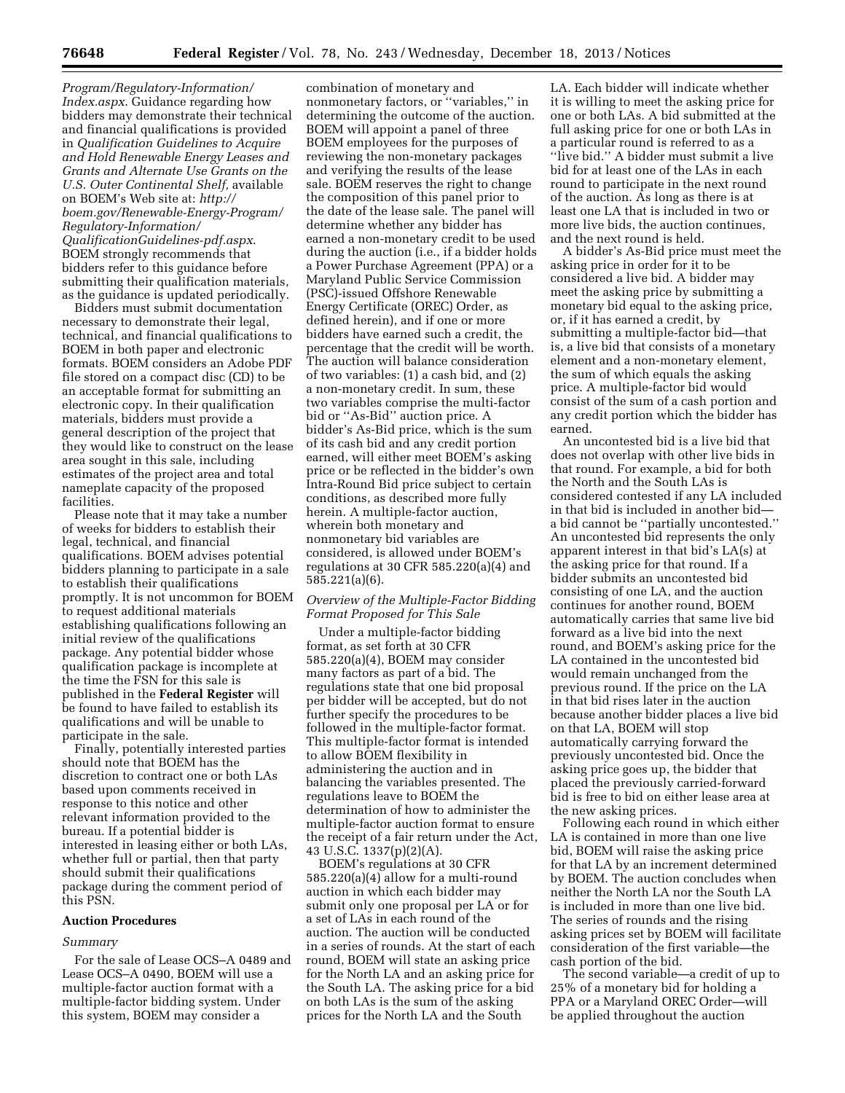*[Program/Regulatory-Information/](http://www.boem.gov/Renewable-Energy-Program/Regulatory-Information/Index.aspx) [Index.aspx](http://www.boem.gov/Renewable-Energy-Program/Regulatory-Information/Index.aspx)*. Guidance regarding how bidders may demonstrate their technical and financial qualifications is provided in *Qualification Guidelines to Acquire and Hold Renewable Energy Leases and Grants and Alternate Use Grants on the U.S. Outer Continental Shelf,* available on BOEM's Web site at: *[http://](http://boem.gov/Renewable-Energy-Program/Regulatory-Information/QualificationGuidelines-pdf.aspx) [boem.gov/Renewable-Energy-Program/](http://boem.gov/Renewable-Energy-Program/Regulatory-Information/QualificationGuidelines-pdf.aspx) [Regulatory-Information/](http://boem.gov/Renewable-Energy-Program/Regulatory-Information/QualificationGuidelines-pdf.aspx) [QualificationGuidelines-pdf.aspx](http://boem.gov/Renewable-Energy-Program/Regulatory-Information/QualificationGuidelines-pdf.aspx)*. BOEM strongly recommends that bidders refer to this guidance before submitting their qualification materials, as the guidance is updated periodically.

Bidders must submit documentation necessary to demonstrate their legal, technical, and financial qualifications to BOEM in both paper and electronic formats. BOEM considers an Adobe PDF file stored on a compact disc (CD) to be an acceptable format for submitting an electronic copy. In their qualification materials, bidders must provide a general description of the project that they would like to construct on the lease area sought in this sale, including estimates of the project area and total nameplate capacity of the proposed facilities.

Please note that it may take a number of weeks for bidders to establish their legal, technical, and financial qualifications. BOEM advises potential bidders planning to participate in a sale to establish their qualifications promptly. It is not uncommon for BOEM to request additional materials establishing qualifications following an initial review of the qualifications package. Any potential bidder whose qualification package is incomplete at the time the FSN for this sale is published in the **Federal Register** will be found to have failed to establish its qualifications and will be unable to participate in the sale.

Finally, potentially interested parties should note that BOEM has the discretion to contract one or both LAs based upon comments received in response to this notice and other relevant information provided to the bureau. If a potential bidder is interested in leasing either or both LAs, whether full or partial, then that party should submit their qualifications package during the comment period of this PSN.

#### **Auction Procedures**

#### *Summary*

For the sale of Lease OCS–A 0489 and Lease OCS–A 0490, BOEM will use a multiple-factor auction format with a multiple-factor bidding system. Under this system, BOEM may consider a

combination of monetary and nonmonetary factors, or ''variables,'' in determining the outcome of the auction. BOEM will appoint a panel of three BOEM employees for the purposes of reviewing the non-monetary packages and verifying the results of the lease sale. BOEM reserves the right to change the composition of this panel prior to the date of the lease sale. The panel will determine whether any bidder has earned a non-monetary credit to be used during the auction (i.e., if a bidder holds a Power Purchase Agreement (PPA) or a Maryland Public Service Commission (PSC)-issued Offshore Renewable Energy Certificate (OREC) Order, as defined herein), and if one or more bidders have earned such a credit, the percentage that the credit will be worth. The auction will balance consideration of two variables: (1) a cash bid, and (2) a non-monetary credit. In sum, these two variables comprise the multi-factor bid or ''As-Bid'' auction price. A bidder's As-Bid price, which is the sum of its cash bid and any credit portion earned, will either meet BOEM's asking price or be reflected in the bidder's own Intra-Round Bid price subject to certain conditions, as described more fully herein. A multiple-factor auction, wherein both monetary and nonmonetary bid variables are considered, is allowed under BOEM's regulations at 30 CFR 585.220(a)(4) and 585.221(a)(6).

## *Overview of the Multiple-Factor Bidding Format Proposed for This Sale*

Under a multiple-factor bidding format, as set forth at 30 CFR 585.220(a)(4), BOEM may consider many factors as part of a bid. The regulations state that one bid proposal per bidder will be accepted, but do not further specify the procedures to be followed in the multiple-factor format. This multiple-factor format is intended to allow BOEM flexibility in administering the auction and in balancing the variables presented. The regulations leave to BOEM the determination of how to administer the multiple-factor auction format to ensure the receipt of a fair return under the Act, 43 U.S.C. 1337(p)(2)(A).

BOEM's regulations at 30 CFR 585.220(a)(4) allow for a multi-round auction in which each bidder may submit only one proposal per LA or for a set of LAs in each round of the auction. The auction will be conducted in a series of rounds. At the start of each round, BOEM will state an asking price for the North LA and an asking price for the South LA. The asking price for a bid on both LAs is the sum of the asking prices for the North LA and the South

LA. Each bidder will indicate whether it is willing to meet the asking price for one or both LAs. A bid submitted at the full asking price for one or both LAs in a particular round is referred to as a ''live bid.'' A bidder must submit a live bid for at least one of the LAs in each round to participate in the next round of the auction. As long as there is at least one LA that is included in two or more live bids, the auction continues, and the next round is held.

A bidder's As-Bid price must meet the asking price in order for it to be considered a live bid. A bidder may meet the asking price by submitting a monetary bid equal to the asking price, or, if it has earned a credit, by submitting a multiple-factor bid—that is, a live bid that consists of a monetary element and a non-monetary element, the sum of which equals the asking price. A multiple-factor bid would consist of the sum of a cash portion and any credit portion which the bidder has earned.

An uncontested bid is a live bid that does not overlap with other live bids in that round. For example, a bid for both the North and the South LAs is considered contested if any LA included in that bid is included in another bid a bid cannot be ''partially uncontested.'' An uncontested bid represents the only apparent interest in that bid's LA(s) at the asking price for that round. If a bidder submits an uncontested bid consisting of one LA, and the auction continues for another round, BOEM automatically carries that same live bid forward as a live bid into the next round, and BOEM's asking price for the LA contained in the uncontested bid would remain unchanged from the previous round. If the price on the LA in that bid rises later in the auction because another bidder places a live bid on that LA, BOEM will stop automatically carrying forward the previously uncontested bid. Once the asking price goes up, the bidder that placed the previously carried-forward bid is free to bid on either lease area at the new asking prices.

Following each round in which either LA is contained in more than one live bid, BOEM will raise the asking price for that LA by an increment determined by BOEM. The auction concludes when neither the North LA nor the South LA is included in more than one live bid. The series of rounds and the rising asking prices set by BOEM will facilitate consideration of the first variable—the cash portion of the bid.

The second variable—a credit of up to 25% of a monetary bid for holding a PPA or a Maryland OREC Order—will be applied throughout the auction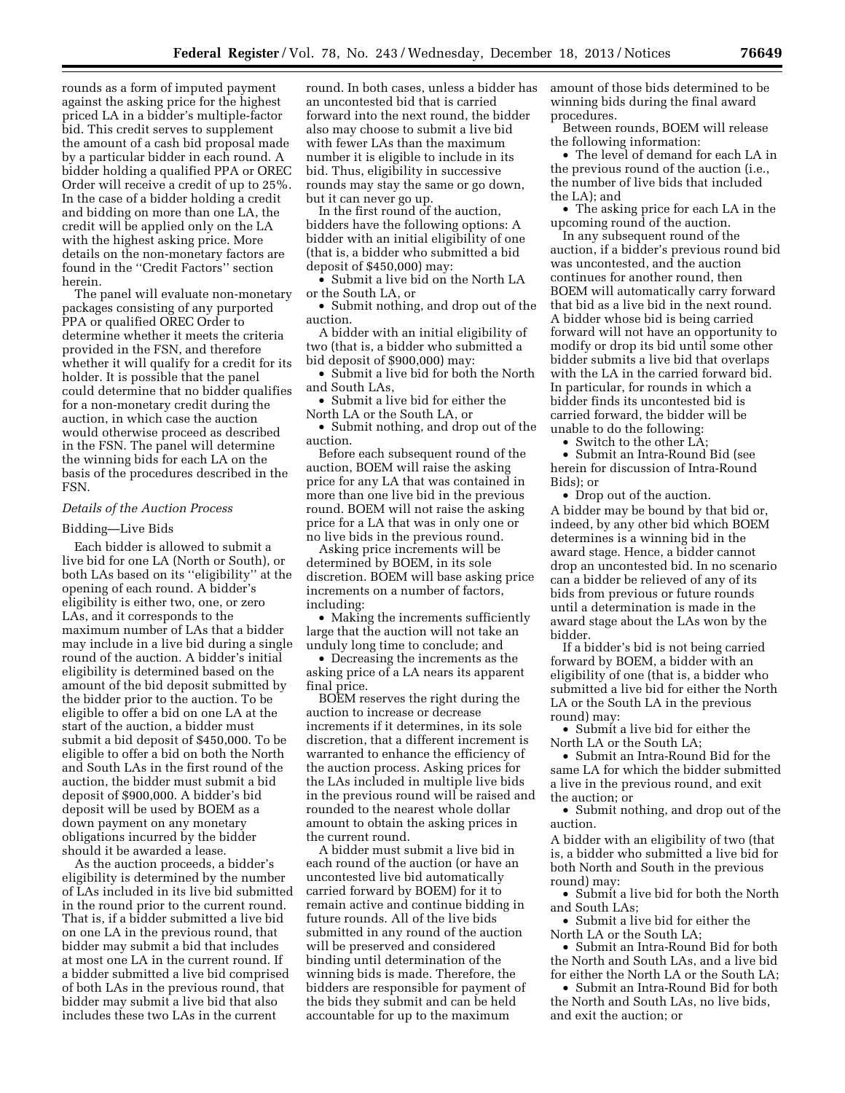rounds as a form of imputed payment against the asking price for the highest priced LA in a bidder's multiple-factor bid. This credit serves to supplement the amount of a cash bid proposal made by a particular bidder in each round. A bidder holding a qualified PPA or OREC Order will receive a credit of up to 25%. In the case of a bidder holding a credit and bidding on more than one LA, the credit will be applied only on the LA with the highest asking price. More details on the non-monetary factors are found in the ''Credit Factors'' section herein.

The panel will evaluate non-monetary packages consisting of any purported PPA or qualified OREC Order to determine whether it meets the criteria provided in the FSN, and therefore whether it will qualify for a credit for its holder. It is possible that the panel could determine that no bidder qualifies for a non-monetary credit during the auction, in which case the auction would otherwise proceed as described in the FSN. The panel will determine the winning bids for each LA on the basis of the procedures described in the FSN.

#### *Details of the Auction Process*

## Bidding—Live Bids

Each bidder is allowed to submit a live bid for one LA (North or South), or both LAs based on its ''eligibility'' at the opening of each round. A bidder's eligibility is either two, one, or zero LAs, and it corresponds to the maximum number of LAs that a bidder may include in a live bid during a single round of the auction. A bidder's initial eligibility is determined based on the amount of the bid deposit submitted by the bidder prior to the auction. To be eligible to offer a bid on one LA at the start of the auction, a bidder must submit a bid deposit of \$450,000. To be eligible to offer a bid on both the North and South LAs in the first round of the auction, the bidder must submit a bid deposit of \$900,000. A bidder's bid deposit will be used by BOEM as a down payment on any monetary obligations incurred by the bidder should it be awarded a lease.

As the auction proceeds, a bidder's eligibility is determined by the number of LAs included in its live bid submitted in the round prior to the current round. That is, if a bidder submitted a live bid on one LA in the previous round, that bidder may submit a bid that includes at most one LA in the current round. If a bidder submitted a live bid comprised of both LAs in the previous round, that bidder may submit a live bid that also includes these two LAs in the current

round. In both cases, unless a bidder has an uncontested bid that is carried forward into the next round, the bidder also may choose to submit a live bid with fewer LAs than the maximum number it is eligible to include in its bid. Thus, eligibility in successive rounds may stay the same or go down, but it can never go up.

In the first round of the auction, bidders have the following options: A bidder with an initial eligibility of one (that is, a bidder who submitted a bid deposit of \$450,000) may:

• Submit a live bid on the North LA or the South LA, or

• Submit nothing, and drop out of the auction.

A bidder with an initial eligibility of two (that is, a bidder who submitted a bid deposit of \$900,000) may:

• Submit a live bid for both the North and South LAs,

• Submit a live bid for either the North LA or the South LA, or

• Submit nothing, and drop out of the auction.

Before each subsequent round of the auction, BOEM will raise the asking price for any LA that was contained in more than one live bid in the previous round. BOEM will not raise the asking price for a LA that was in only one or no live bids in the previous round.

Asking price increments will be determined by BOEM, in its sole discretion. BOEM will base asking price increments on a number of factors, including:

• Making the increments sufficiently large that the auction will not take an unduly long time to conclude; and

• Decreasing the increments as the asking price of a LA nears its apparent final price.

BOEM reserves the right during the auction to increase or decrease increments if it determines, in its sole discretion, that a different increment is warranted to enhance the efficiency of the auction process. Asking prices for the LAs included in multiple live bids in the previous round will be raised and rounded to the nearest whole dollar amount to obtain the asking prices in the current round.

A bidder must submit a live bid in each round of the auction (or have an uncontested live bid automatically carried forward by BOEM) for it to remain active and continue bidding in future rounds. All of the live bids submitted in any round of the auction will be preserved and considered binding until determination of the winning bids is made. Therefore, the bidders are responsible for payment of the bids they submit and can be held accountable for up to the maximum

amount of those bids determined to be winning bids during the final award procedures.

Between rounds, BOEM will release the following information:

• The level of demand for each LA in the previous round of the auction (i.e., the number of live bids that included the LA); and

• The asking price for each LA in the upcoming round of the auction.

In any subsequent round of the auction, if a bidder's previous round bid was uncontested, and the auction continues for another round, then BOEM will automatically carry forward that bid as a live bid in the next round. A bidder whose bid is being carried forward will not have an opportunity to modify or drop its bid until some other bidder submits a live bid that overlaps with the LA in the carried forward bid. In particular, for rounds in which a bidder finds its uncontested bid is carried forward, the bidder will be unable to do the following:

• Switch to the other LA;

• Submit an Intra-Round Bid (see herein for discussion of Intra-Round Bids); or

• Drop out of the auction. A bidder may be bound by that bid or, indeed, by any other bid which BOEM determines is a winning bid in the award stage. Hence, a bidder cannot drop an uncontested bid. In no scenario can a bidder be relieved of any of its bids from previous or future rounds until a determination is made in the award stage about the LAs won by the bidder.

If a bidder's bid is not being carried forward by BOEM, a bidder with an eligibility of one (that is, a bidder who submitted a live bid for either the North LA or the South LA in the previous round) may:

• Submit a live bid for either the North LA or the South LA;

• Submit an Intra-Round Bid for the same LA for which the bidder submitted a live in the previous round, and exit the auction; or

• Submit nothing, and drop out of the auction.

A bidder with an eligibility of two (that is, a bidder who submitted a live bid for both North and South in the previous round) may:

• Submit a live bid for both the North and South LAs;

• Submit a live bid for either the North LA or the South LA;

• Submit an Intra-Round Bid for both the North and South LAs, and a live bid for either the North LA or the South LA;

• Submit an Intra-Round Bid for both the North and South LAs, no live bids, and exit the auction; or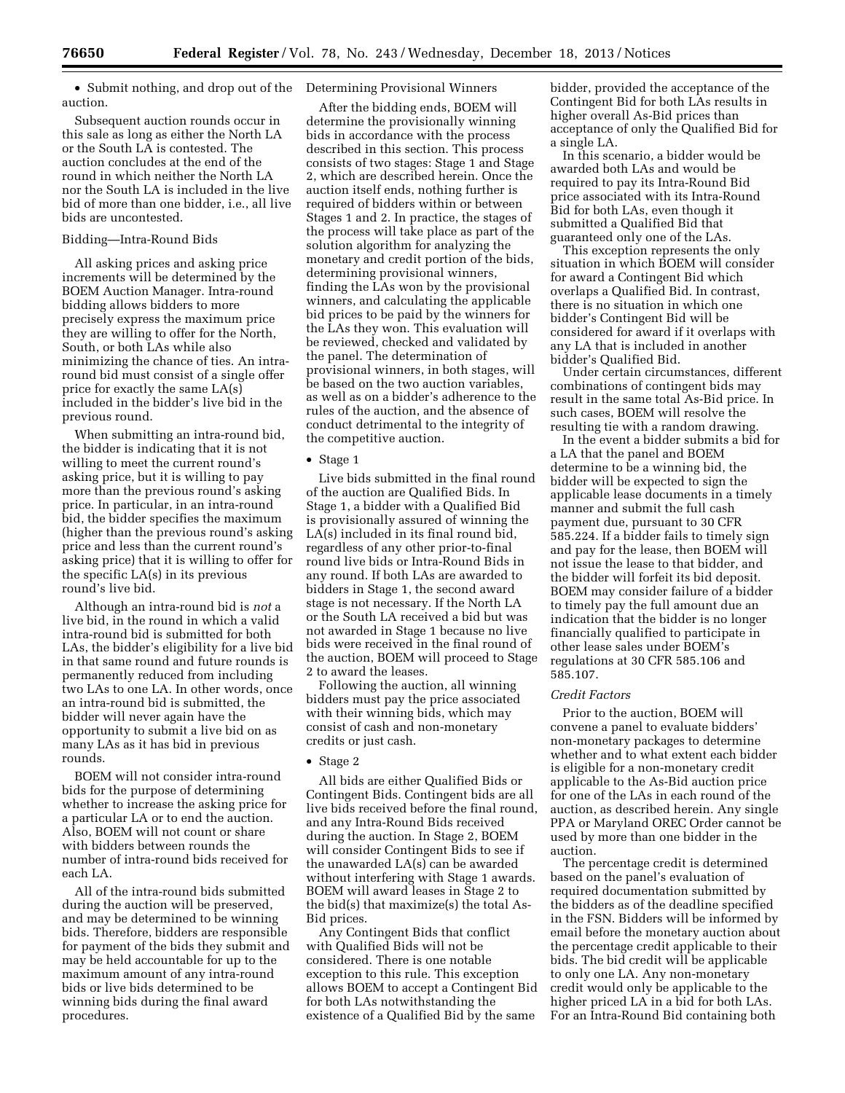• Submit nothing, and drop out of the auction.

Subsequent auction rounds occur in this sale as long as either the North LA or the South LA is contested. The auction concludes at the end of the round in which neither the North LA nor the South LA is included in the live bid of more than one bidder, i.e., all live bids are uncontested.

# Bidding—Intra-Round Bids

All asking prices and asking price increments will be determined by the BOEM Auction Manager. Intra-round bidding allows bidders to more precisely express the maximum price they are willing to offer for the North, South, or both LAs while also minimizing the chance of ties. An intraround bid must consist of a single offer price for exactly the same LA(s) included in the bidder's live bid in the previous round.

When submitting an intra-round bid, the bidder is indicating that it is not willing to meet the current round's asking price, but it is willing to pay more than the previous round's asking price. In particular, in an intra-round bid, the bidder specifies the maximum (higher than the previous round's asking price and less than the current round's asking price) that it is willing to offer for the specific LA(s) in its previous round's live bid.

Although an intra-round bid is *not* a live bid, in the round in which a valid intra-round bid is submitted for both LAs, the bidder's eligibility for a live bid in that same round and future rounds is permanently reduced from including two LAs to one LA. In other words, once an intra-round bid is submitted, the bidder will never again have the opportunity to submit a live bid on as many LAs as it has bid in previous rounds.

BOEM will not consider intra-round bids for the purpose of determining whether to increase the asking price for a particular LA or to end the auction. Also, BOEM will not count or share with bidders between rounds the number of intra-round bids received for each LA.

All of the intra-round bids submitted during the auction will be preserved, and may be determined to be winning bids. Therefore, bidders are responsible for payment of the bids they submit and may be held accountable for up to the maximum amount of any intra-round bids or live bids determined to be winning bids during the final award procedures.

# Determining Provisional Winners

After the bidding ends, BOEM will determine the provisionally winning bids in accordance with the process described in this section. This process consists of two stages: Stage 1 and Stage 2, which are described herein. Once the auction itself ends, nothing further is required of bidders within or between Stages 1 and 2. In practice, the stages of the process will take place as part of the solution algorithm for analyzing the monetary and credit portion of the bids, determining provisional winners, finding the LAs won by the provisional winners, and calculating the applicable bid prices to be paid by the winners for the LAs they won. This evaluation will be reviewed, checked and validated by the panel. The determination of provisional winners, in both stages, will be based on the two auction variables, as well as on a bidder's adherence to the rules of the auction, and the absence of conduct detrimental to the integrity of the competitive auction.

#### • Stage 1

Live bids submitted in the final round of the auction are Qualified Bids. In Stage 1, a bidder with a Qualified Bid is provisionally assured of winning the LA(s) included in its final round bid, regardless of any other prior-to-final round live bids or Intra-Round Bids in any round. If both LAs are awarded to bidders in Stage 1, the second award stage is not necessary. If the North LA or the South LA received a bid but was not awarded in Stage 1 because no live bids were received in the final round of the auction, BOEM will proceed to Stage 2 to award the leases.

Following the auction, all winning bidders must pay the price associated with their winning bids, which may consist of cash and non-monetary credits or just cash.

#### • Stage 2

All bids are either Qualified Bids or Contingent Bids. Contingent bids are all live bids received before the final round, and any Intra-Round Bids received during the auction. In Stage 2, BOEM will consider Contingent Bids to see if the unawarded LA(s) can be awarded without interfering with Stage 1 awards. BOEM will award leases in Stage 2 to the bid(s) that maximize(s) the total As-Bid prices.

Any Contingent Bids that conflict with Qualified Bids will not be considered. There is one notable exception to this rule. This exception allows BOEM to accept a Contingent Bid for both LAs notwithstanding the existence of a Qualified Bid by the same

bidder, provided the acceptance of the Contingent Bid for both LAs results in higher overall As-Bid prices than acceptance of only the Qualified Bid for a single LA.

In this scenario, a bidder would be awarded both LAs and would be required to pay its Intra-Round Bid price associated with its Intra-Round Bid for both LAs, even though it submitted a Qualified Bid that guaranteed only one of the LAs.

This exception represents the only situation in which BOEM will consider for award a Contingent Bid which overlaps a Qualified Bid. In contrast, there is no situation in which one bidder's Contingent Bid will be considered for award if it overlaps with any LA that is included in another bidder's Qualified Bid.

Under certain circumstances, different combinations of contingent bids may result in the same total As-Bid price. In such cases, BOEM will resolve the resulting tie with a random drawing.

In the event a bidder submits a bid for a LA that the panel and BOEM determine to be a winning bid, the bidder will be expected to sign the applicable lease documents in a timely manner and submit the full cash payment due, pursuant to 30 CFR 585.224. If a bidder fails to timely sign and pay for the lease, then BOEM will not issue the lease to that bidder, and the bidder will forfeit its bid deposit. BOEM may consider failure of a bidder to timely pay the full amount due an indication that the bidder is no longer financially qualified to participate in other lease sales under BOEM's regulations at 30 CFR 585.106 and 585.107.

#### *Credit Factors*

Prior to the auction, BOEM will convene a panel to evaluate bidders' non-monetary packages to determine whether and to what extent each bidder is eligible for a non-monetary credit applicable to the As-Bid auction price for one of the LAs in each round of the auction, as described herein. Any single PPA or Maryland OREC Order cannot be used by more than one bidder in the auction.

The percentage credit is determined based on the panel's evaluation of required documentation submitted by the bidders as of the deadline specified in the FSN. Bidders will be informed by email before the monetary auction about the percentage credit applicable to their bids. The bid credit will be applicable to only one LA. Any non-monetary credit would only be applicable to the higher priced LA in a bid for both LAs. For an Intra-Round Bid containing both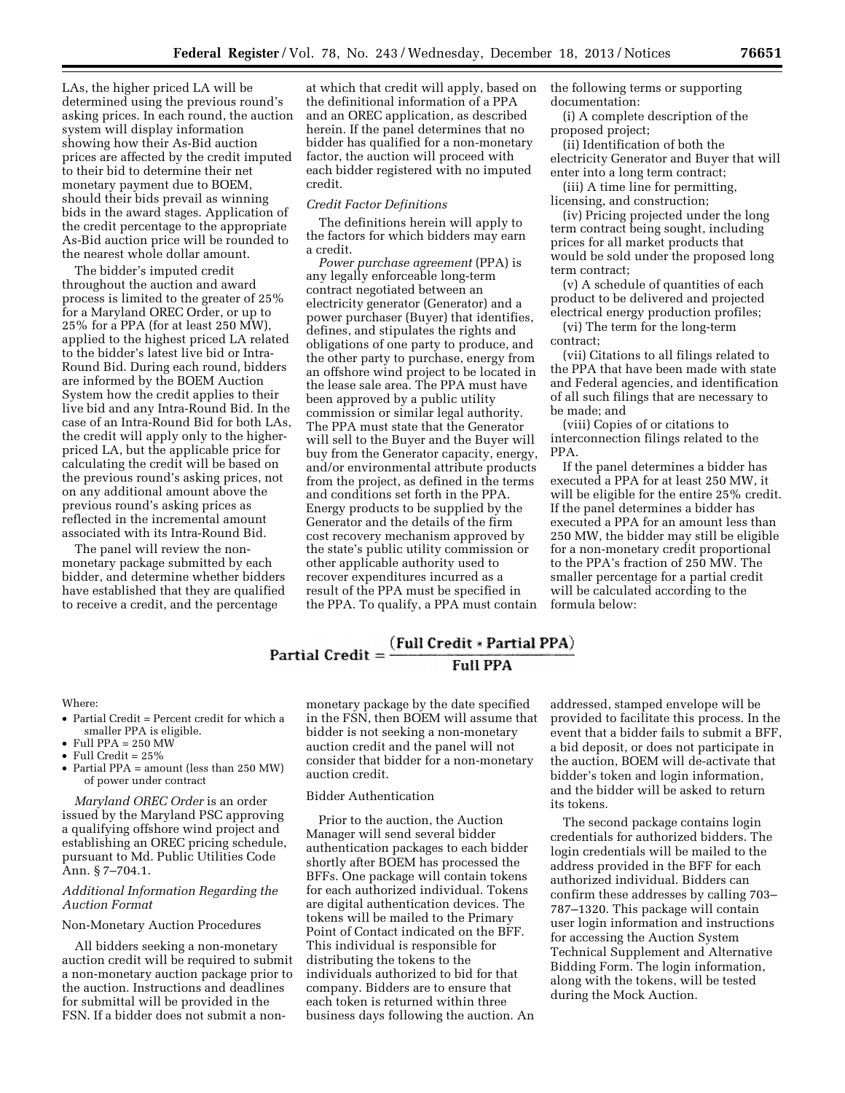LAs, the higher priced LA will be determined using the previous round's asking prices. In each round, the auction system will display information showing how their As-Bid auction prices are affected by the credit imputed to their bid to determine their net monetary payment due to BOEM, should their bids prevail as winning bids in the award stages. Application of the credit percentage to the appropriate As-Bid auction price will be rounded to the nearest whole dollar amount.

The bidder's imputed credit throughout the auction and award process is limited to the greater of 25% for a Maryland OREC Order, or up to 25% for a PPA (for at least 250 MW), applied to the highest priced LA related to the bidder's latest live bid or Intra-Round Bid. During each round, bidders are informed by the BOEM Auction System how the credit applies to their live bid and any Intra-Round Bid. In the case of an Intra-Round Bid for both LAs, the credit will apply only to the higherpriced LA, but the applicable price for calculating the credit will be based on the previous round's asking prices, not on any additional amount above the previous round's asking prices as reflected in the incremental amount associated with its Intra-Round Bid.

The panel will review the nonmonetary package submitted by each bidder, and determine whether bidders have established that they are qualified to receive a credit, and the percentage

at which that credit will apply, based on the definitional information of a PPA and an OREC application, as described herein. If the panel determines that no bidder has qualified for a non-monetary factor, the auction will proceed with each bidder registered with no imputed credit.

## *Credit Factor Definitions*

The definitions herein will apply to the factors for which bidders may earn a credit.

*Power purchase agreement* (PPA) is any legally enforceable long-term contract negotiated between an electricity generator (Generator) and a power purchaser (Buyer) that identifies, defines, and stipulates the rights and obligations of one party to produce, and the other party to purchase, energy from an offshore wind project to be located in the lease sale area. The PPA must have been approved by a public utility commission or similar legal authority. The PPA must state that the Generator will sell to the Buyer and the Buyer will buy from the Generator capacity, energy, and/or environmental attribute products from the project, as defined in the terms and conditions set forth in the PPA. Energy products to be supplied by the Generator and the details of the firm cost recovery mechanism approved by the state's public utility commission or other applicable authority used to recover expenditures incurred as a result of the PPA must be specified in the PPA. To qualify, a PPA must contain the following terms or supporting documentation:

(i) A complete description of the proposed project;

(ii) Identification of both the electricity Generator and Buyer that will enter into a long term contract;

(iii) A time line for permitting, licensing, and construction;

(iv) Pricing projected under the long term contract being sought, including prices for all market products that would be sold under the proposed long term contract;

(v) A schedule of quantities of each product to be delivered and projected electrical energy production profiles;

(vi) The term for the long-term contract;

(vii) Citations to all filings related to the PPA that have been made with state and Federal agencies, and identification of all such filings that are necessary to be made; and

(viii) Copies of or citations to interconnection filings related to the PPA.

If the panel determines a bidder has executed a PPA for at least 250 MW, it will be eligible for the entire 25% credit. If the panel determines a bidder has executed a PPA for an amount less than 250 MW, the bidder may still be eligible for a non-monetary credit proportional to the PPA's fraction of 250 MW. The smaller percentage for a partial credit will be calculated according to the formula below:

# Partial Credit =  $\frac{Full Credit * Partial PPA}{Full PPA}$ **Full PPA**

## Where:

- Partial Credit = Percent credit for which a smaller PPA is eligible.
- Full PPA = 250 MW
- Full Credit  $= 25\%$
- Partial PPA = amount (less than 250 MW) of power under contract

*Maryland OREC Order* is an order issued by the Maryland PSC approving a qualifying offshore wind project and establishing an OREC pricing schedule, pursuant to Md. Public Utilities Code Ann. § 7–704.1.

#### *Additional Information Regarding the Auction Format*

#### Non-Monetary Auction Procedures

All bidders seeking a non-monetary auction credit will be required to submit a non-monetary auction package prior to the auction. Instructions and deadlines for submittal will be provided in the FSN. If a bidder does not submit a nonmonetary package by the date specified in the FSN, then BOEM will assume that bidder is not seeking a non-monetary auction credit and the panel will not consider that bidder for a non-monetary auction credit.

## Bidder Authentication

Prior to the auction, the Auction Manager will send several bidder authentication packages to each bidder shortly after BOEM has processed the BFFs. One package will contain tokens for each authorized individual. Tokens are digital authentication devices. The tokens will be mailed to the Primary Point of Contact indicated on the BFF. This individual is responsible for distributing the tokens to the individuals authorized to bid for that company. Bidders are to ensure that each token is returned within three business days following the auction. An

addressed, stamped envelope will be provided to facilitate this process. In the event that a bidder fails to submit a BFF, a bid deposit, or does not participate in the auction, BOEM will de-activate that bidder's token and login information, and the bidder will be asked to return its tokens.

The second package contains login credentials for authorized bidders. The login credentials will be mailed to the address provided in the BFF for each authorized individual. Bidders can confirm these addresses by calling 703– 787–1320. This package will contain user login information and instructions for accessing the Auction System Technical Supplement and Alternative Bidding Form. The login information, along with the tokens, will be tested during the Mock Auction.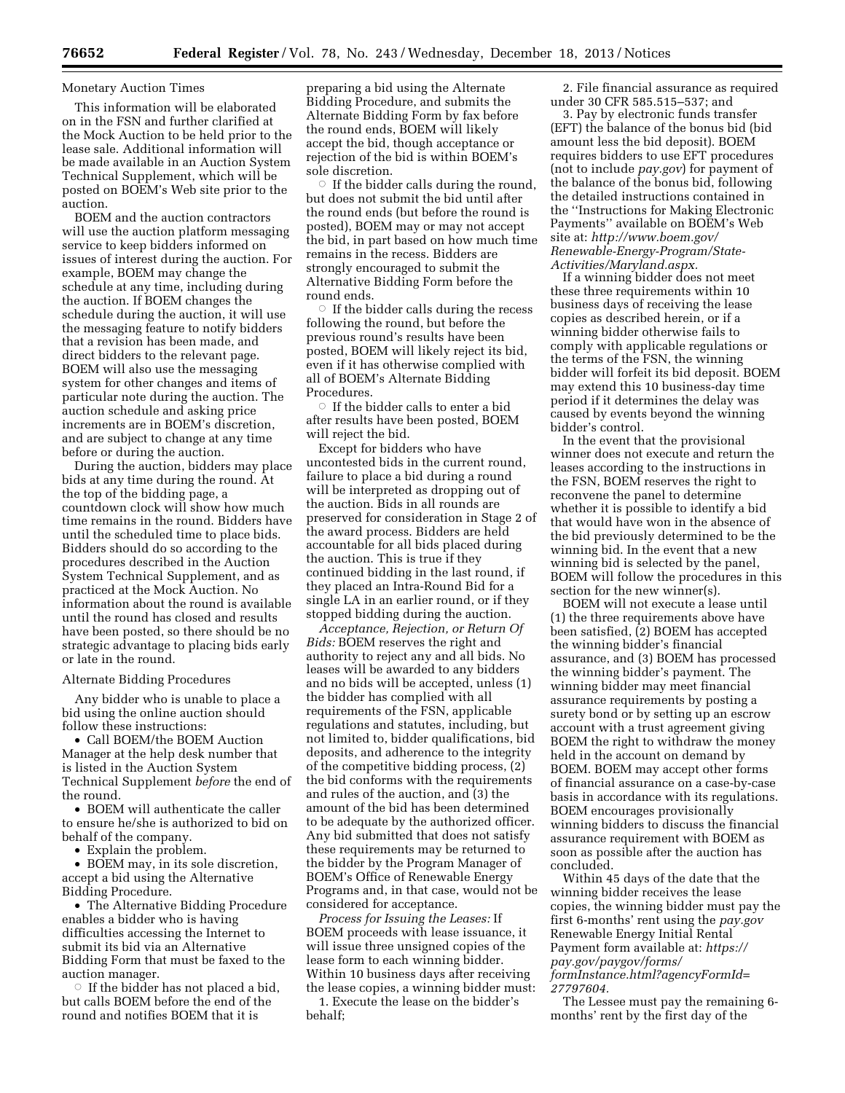#### Monetary Auction Times

This information will be elaborated on in the FSN and further clarified at the Mock Auction to be held prior to the lease sale. Additional information will be made available in an Auction System Technical Supplement, which will be posted on BOEM's Web site prior to the auction.

BOEM and the auction contractors will use the auction platform messaging service to keep bidders informed on issues of interest during the auction. For example, BOEM may change the schedule at any time, including during the auction. If BOEM changes the schedule during the auction, it will use the messaging feature to notify bidders that a revision has been made, and direct bidders to the relevant page. BOEM will also use the messaging system for other changes and items of particular note during the auction. The auction schedule and asking price increments are in BOEM's discretion, and are subject to change at any time before or during the auction.

During the auction, bidders may place bids at any time during the round. At the top of the bidding page, a countdown clock will show how much time remains in the round. Bidders have until the scheduled time to place bids. Bidders should do so according to the procedures described in the Auction System Technical Supplement, and as practiced at the Mock Auction. No information about the round is available until the round has closed and results have been posted, so there should be no strategic advantage to placing bids early or late in the round.

#### Alternate Bidding Procedures

Any bidder who is unable to place a bid using the online auction should follow these instructions:

• Call BOEM/the BOEM Auction Manager at the help desk number that is listed in the Auction System Technical Supplement *before* the end of the round.

• BOEM will authenticate the caller to ensure he/she is authorized to bid on behalf of the company.

• Explain the problem.

• BOEM may, in its sole discretion, accept a bid using the Alternative Bidding Procedure.

• The Alternative Bidding Procedure enables a bidder who is having difficulties accessing the Internet to submit its bid via an Alternative Bidding Form that must be faxed to the auction manager.

 $\circ$  If the bidder has not placed a bid, but calls BOEM before the end of the round and notifies BOEM that it is

preparing a bid using the Alternate Bidding Procedure, and submits the Alternate Bidding Form by fax before the round ends, BOEM will likely accept the bid, though acceptance or rejection of the bid is within BOEM's sole discretion.

 $\circ$  If the bidder calls during the round, but does not submit the bid until after the round ends (but before the round is posted), BOEM may or may not accept the bid, in part based on how much time remains in the recess. Bidders are strongly encouraged to submit the Alternative Bidding Form before the round ends.

 $\circ$  If the bidder calls during the recess following the round, but before the previous round's results have been posted, BOEM will likely reject its bid, even if it has otherwise complied with all of BOEM's Alternate Bidding Procedures.

 $\circ\,$  If the bidder calls to enter a bid after results have been posted, BOEM will reject the bid.

Except for bidders who have uncontested bids in the current round, failure to place a bid during a round will be interpreted as dropping out of the auction. Bids in all rounds are preserved for consideration in Stage 2 of the award process. Bidders are held accountable for all bids placed during the auction. This is true if they continued bidding in the last round, if they placed an Intra-Round Bid for a single LA in an earlier round, or if they stopped bidding during the auction.

*Acceptance, Rejection, or Return Of Bids:* BOEM reserves the right and authority to reject any and all bids. No leases will be awarded to any bidders and no bids will be accepted, unless (1) the bidder has complied with all requirements of the FSN, applicable regulations and statutes, including, but not limited to, bidder qualifications, bid deposits, and adherence to the integrity of the competitive bidding process, (2) the bid conforms with the requirements and rules of the auction, and (3) the amount of the bid has been determined to be adequate by the authorized officer. Any bid submitted that does not satisfy these requirements may be returned to the bidder by the Program Manager of BOEM's Office of Renewable Energy Programs and, in that case, would not be considered for acceptance.

*Process for Issuing the Leases:* If BOEM proceeds with lease issuance, it will issue three unsigned copies of the lease form to each winning bidder. Within 10 business days after receiving the lease copies, a winning bidder must:

1. Execute the lease on the bidder's behalf;

2. File financial assurance as required under 30 CFR 585.515–537; and

3. Pay by electronic funds transfer (EFT) the balance of the bonus bid (bid amount less the bid deposit). BOEM requires bidders to use EFT procedures (not to include *pay.gov*) for payment of the balance of the bonus bid, following the detailed instructions contained in the ''Instructions for Making Electronic Payments'' available on BOEM's Web site at: *[http://www.boem.gov/](http://www.boem.gov/Renewable-Energy-Program/State-Activities/Maryland.aspx) [Renewable-Energy-Program/State-](http://www.boem.gov/Renewable-Energy-Program/State-Activities/Maryland.aspx)[Activities/Maryland.aspx.](http://www.boem.gov/Renewable-Energy-Program/State-Activities/Maryland.aspx)* 

If a winning bidder does not meet these three requirements within 10 business days of receiving the lease copies as described herein, or if a winning bidder otherwise fails to comply with applicable regulations or the terms of the FSN, the winning bidder will forfeit its bid deposit. BOEM may extend this 10 business-day time period if it determines the delay was caused by events beyond the winning bidder's control.

In the event that the provisional winner does not execute and return the leases according to the instructions in the FSN, BOEM reserves the right to reconvene the panel to determine whether it is possible to identify a bid that would have won in the absence of the bid previously determined to be the winning bid. In the event that a new winning bid is selected by the panel, BOEM will follow the procedures in this section for the new winner(s).

BOEM will not execute a lease until (1) the three requirements above have been satisfied, (2) BOEM has accepted the winning bidder's financial assurance, and (3) BOEM has processed the winning bidder's payment. The winning bidder may meet financial assurance requirements by posting a surety bond or by setting up an escrow account with a trust agreement giving BOEM the right to withdraw the money held in the account on demand by BOEM. BOEM may accept other forms of financial assurance on a case-by-case basis in accordance with its regulations. BOEM encourages provisionally winning bidders to discuss the financial assurance requirement with BOEM as soon as possible after the auction has concluded.

Within 45 days of the date that the winning bidder receives the lease copies, the winning bidder must pay the first 6-months' rent using the *pay.gov*  Renewable Energy Initial Rental Payment form available at: *[https://](https://pay.gov/paygov/forms/formInstance.html?agencyFormId=27797604)  [pay.gov/paygov/forms/](https://pay.gov/paygov/forms/formInstance.html?agencyFormId=27797604) [formInstance.html?agencyFormId=](https://pay.gov/paygov/forms/formInstance.html?agencyFormId=27797604) [27797604.](https://pay.gov/paygov/forms/formInstance.html?agencyFormId=27797604)* 

The Lessee must pay the remaining 6 months' rent by the first day of the